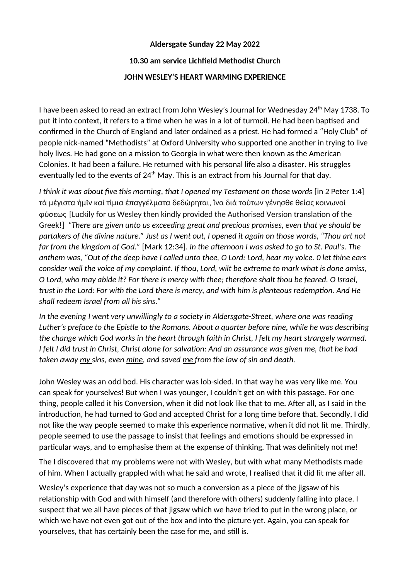## **Aldersgate Sunday 22 May 2022**

## **10.30 am service Lichfeld Methodist Church**

## **JOHN WESLEY'S HEART WARMING EXPERIENCE**

I have been asked to read an extract from John Wesley's Journal for Wednesday 24th May 1738. To put it into context, it refers to a time when he was in a lot of turmoil. He had been baptised and confirmed in the Church of England and later ordained as a priest. He had formed a "Holy Club" of people nick-named "Methodists" at Oxford University who supported one another in trying to live holy lives. He had gone on a mission to Georgia in what were then known as the American Colonies. It had been a failure. He returned with his personal life also a disaster. His struggles eventually led to the events of  $24<sup>th</sup>$  May. This is an extract from his Journal for that day.

*I think it was about five this morning, that I opened my Testament on those words [in 2 Peter 1:4]* τὰ μέγιστα ἡμῖν καὶ τίμια ἐπαγγέλματα δεδώρηται, ἵνα διὰ τούτων γένησθε θείας κοινωνοὶ φύσεως [Luckily for us Wesley then kindly provided the Authorised Version translaton of the Greek!] "There are given unto us exceeding great and precious promises, even that ye should be *partakers of the divine nature." Just as I went out, I opened it again on those words, "Thou art not far from the kingdom of God."* [Mark 12:34]. In the afternoon I was asked to go to St. Paul's. The *anthem was, "Out of the deep have I called unto thee, O Lord: Lord, hear my voice. 0 let thine ears consider well the voice of my complaint. If thou, Lord, wilt be extreme to mark what is done amiss, O Lord, who may abide it? For there is mercy with thee; therefore shalt thou be feared. O Israel, trust in the Lord: For with the Lord there is mercy, and with him is plenteous redemption. And He* shall redeem Israel from all his sins."

*In the evening I went very unwillingly to a society in Aldersgate-Street, where one was reading Luther's preface to the Epistle to the Romans. About a quarter before nine, while he was describing the change which God works in the heart through faith in Christ, I felt my heart strangely warmed. I* felt *I did trust in Christ, Christ alone for salvation: And an assurance was given me, that he had taken away my sins, even mine, and saved me from the law of sin and death.* 

John Wesley was an odd bod. His character was lob-sided. In that way he was very like me. You can speak for yourselves! But when I was younger, I couldn't get on with this passage. For one thing, people called it his Conversion, when it did not look like that to me. After all, as I said in the introduction, he had turned to God and accepted Christ for a long time before that. Secondly, I did not like the way people seemed to make this experience normative, when it did not fit me. Thirdly, people seemed to use the passage to insist that feelings and emotions should be expressed in particular ways, and to emphasise them at the expense of thinking. That was definitely not me!

The I discovered that my problems were not with Wesley, but with what many Methodists made of him. When I actually grappled with what he said and wrote, I realised that it did fit me after all.

Wesley's experience that day was not so much a conversion as a piece of the jigsaw of his relationship with God and with himself (and therefore with others) suddenly falling into place. I suspect that we all have pieces of that jigsaw which we have tried to put in the wrong place, or which we have not even got out of the box and into the picture yet. Again, you can speak for yourselves, that has certainly been the case for me, and still is.